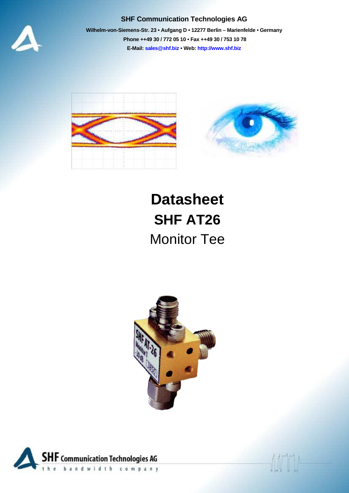

## **SHF Communication Technologies AG**

**Wilhelm-von-Siemens-Str. 23 • Aufgang D • 12277 Berlin – Marienfelde • Germany Phone ++49 30 / 772 05 10 • Fax ++49 30 / 753 10 78 E-Mail: sales@shf.biz • Web: http://www.shf.biz**



## **Datasheet SHF AT26**  Monitor Tee



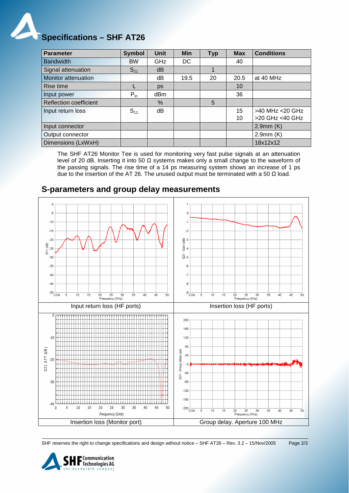

| <b>Parameter</b>              | <b>Symbol</b> | <b>Unit</b>     | <b>Min</b> | <b>Typ</b> | <b>Max</b> | <b>Conditions</b> |
|-------------------------------|---------------|-----------------|------------|------------|------------|-------------------|
| <b>Bandwidth</b>              | <b>BW</b>     | GHz             | DC         |            | 40         |                   |
| Signal attenuation            | $S_{21}$      | dB              |            | 1          |            |                   |
| <b>Monitor attenuation</b>    |               | dB              | 19.5       | 20         | 20.5       | at 40 MHz         |
| Rise time                     |               | ps              |            |            | 10         |                   |
| Input power                   | $P_{in}$      | dB <sub>m</sub> |            |            | 36         |                   |
| <b>Reflection coefficient</b> |               | $\%$            |            | 5          |            |                   |
| Input return loss             | $S_{11}$      | dB              |            |            | 15         | >40 MHz <20 GHz   |
|                               |               |                 |            |            | 10         | >20 GHz <40 GHz   |
| Input connector               |               |                 |            |            |            | 2.9mm(K)          |
| Output connector              |               |                 |            |            |            | $2.9$ mm $(K)$    |
| Dimensions (LxWxH)            |               |                 |            |            |            | 18x12x12          |

The SHF AT26 Monitor Tee is used for monitoring very fast pulse signals at an attenuation level of 20 dB. Inserting it into 50 Ω systems makes only a small change to the waveform of the passing signals. The rise time of a 14 ps measuring system shows an increase of 1 ps due to the insertion of the AT 26. The unused output must be terminated with a 50  $Ω$  load.

## **S-parameters and group delay measurements**



SHF reserves the right to change specifications and design without notice – SHF AT26 – Rev. 3.2 – 15/Nov/2005 Page 2/3